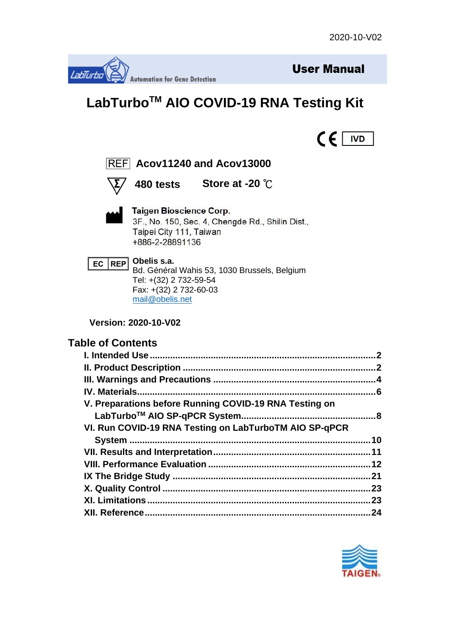



# **LabTurboTM AIO COVID-19 RNA Testing Kit**





## **Acov11240 and Acov13000**



**480 tests Store at -20** ℃



#### **Taigen Bioscience Corp.** 3F., No. 150, Sec. 4, Chengde Rd., Shilin Dist., Taipei City 111, Taiwan +886-2-28891136



Bd. Général Wahis 53, 1030 Brussels, Belgium Tel: +(32) 2 732-59-54 Fax: +(32) 2 732-60-03 [mail@obelis.net](mailto:mail@obelis.net)

**Version: 2020-10-V02**

### **Table of Contents**

|                                                        | 2   |
|--------------------------------------------------------|-----|
|                                                        |     |
|                                                        |     |
|                                                        |     |
| V. Preparations before Running COVID-19 RNA Testing on |     |
|                                                        |     |
| VI. Run COVID-19 RNA Testing on LabTurboTM AIO SP-qPCR |     |
|                                                        |     |
|                                                        |     |
|                                                        |     |
|                                                        |     |
|                                                        | .23 |
|                                                        | .23 |
|                                                        | 24  |

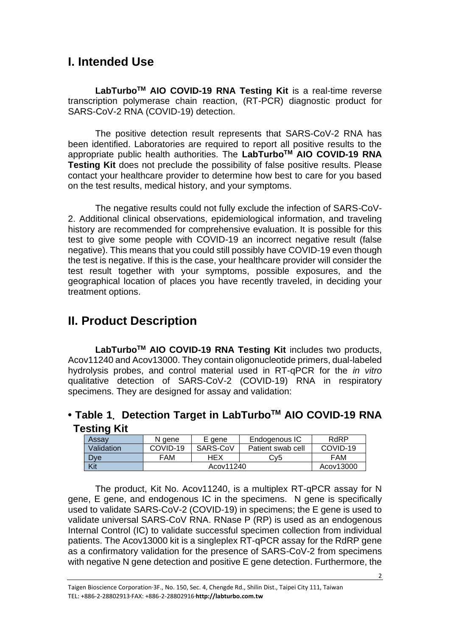## <span id="page-1-0"></span>**I. Intended Use**

**LabTurboTM AIO COVID-19 RNA Testing Kit** is a real-time reverse transcription polymerase chain reaction, (RT-PCR) diagnostic product for SARS-CoV-2 RNA (COVID-19) detection.

The positive detection result represents that SARS-CoV-2 RNA has been identified. Laboratories are required to report all positive results to the appropriate public health authorities. The **LabTurboTM AIO COVID-19 RNA Testing Kit** does not preclude the possibility of false positive results. Please contact your healthcare provider to determine how best to care for you based on the test results, medical history, and your symptoms.

The negative results could not fully exclude the infection of SARS-CoV-2. Additional clinical observations, epidemiological information, and traveling history are recommended for comprehensive evaluation. It is possible for this test to give some people with COVID-19 an incorrect negative result (false negative). This means that you could still possibly have COVID-19 even though the test is negative. If this is the case, your healthcare provider will consider the test result together with your symptoms, possible exposures, and the geographical location of places you have recently traveled, in deciding your treatment options.

## <span id="page-1-1"></span>**II. Product Description**

**LabTurboTM AIO COVID-19 RNA Testing Kit** includes two products, Acov11240 and Acov13000. They contain oligonucleotide primers, dual-labeled hydrolysis probes, and control material used in RT-qPCR for the *in vitro*  qualitative detection of SARS-CoV-2 (COVID-19) RNA in respiratory specimens. They are designed for assay and validation:

### **• Table 1**. **Detection Target in LabTurboTM AIO COVID-19 RNA Testing Kit**

| $\sim$<br>Assay | N gene     | E gene   | Endogenous IC     | <b>RdRP</b> |
|-----------------|------------|----------|-------------------|-------------|
| Validation      | COVID-19   | SARS-CoV | Patient swab cell | COVID-19    |
| <b>Dye</b>      | HEX<br>FAM |          | Cv5               | FAM         |
| Kit             | Acov11240  |          |                   | Acov13000   |

The product, Kit No. Acov11240, is a multiplex RT-qPCR assay for N gene, E gene, and endogenous IC in the specimens. N gene is specifically used to validate SARS-CoV-2 (COVID-19) in specimens; the E gene is used to validate universal SARS-CoV RNA. RNase P (RP) is used as an endogenous Internal Control (IC) to validate successful specimen collection from individual patients. The Acov13000 kit is a singleplex RT-qPCR assay for the RdRP gene as a confirmatory validation for the presence of SARS-CoV-2 from specimens with negative N gene detection and positive E gene detection. Furthermore, the

Taigen Bioscience Corporation‧3F., No. 150, Sec. 4, Chengde Rd., Shilin Dist., Taipei City 111, Taiwan TEL: +886-2-28802913‧FAX: +886-2-28802916‧**http://labturbo.com.tw**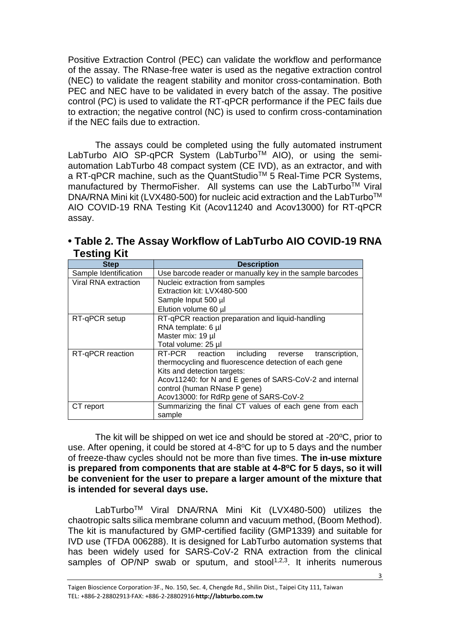Positive Extraction Control (PEC) can validate the workflow and performance of the assay. The RNase-free water is used as the negative extraction control (NEC) to validate the reagent stability and monitor cross-contamination. Both PEC and NEC have to be validated in every batch of the assay. The positive control (PC) is used to validate the RT-qPCR performance if the PEC fails due to extraction; the negative control (NC) is used to confirm cross-contamination if the NEC fails due to extraction.

The assays could be completed using the fully automated instrument LabTurbo AIO SP-qPCR System (LabTurbo™ AIO), or using the semiautomation LabTurbo 48 compact system (CE IVD), as an extractor, and with a RT-qPCR machine, such as the QuantStudio<sup>™</sup> 5 Real-Time PCR Systems, manufactured by ThermoFisher. All systems can use the LabTurbo™ Viral DNA/RNA Mini kit (LVX480-500) for nucleic acid extraction and the LabTurbo<sup>™</sup> AIO COVID-19 RNA Testing Kit (Acov11240 and Acov13000) for RT-qPCR assay.

| гсэшц тиг             |                                                           |  |  |
|-----------------------|-----------------------------------------------------------|--|--|
| <b>Step</b>           | <b>Description</b>                                        |  |  |
| Sample Identification | Use barcode reader or manually key in the sample barcodes |  |  |
| Viral RNA extraction  | Nucleic extraction from samples                           |  |  |
|                       | Extraction kit: LVX480-500                                |  |  |
|                       | Sample Input 500 µl                                       |  |  |
|                       | Elution volume 60 µl                                      |  |  |
| RT-qPCR setup         | RT-qPCR reaction preparation and liquid-handling          |  |  |
|                       | RNA template: 6 µl                                        |  |  |
|                       | Master mix: 19 µl                                         |  |  |
|                       | Total volume: 25 µl                                       |  |  |
| RT-qPCR reaction      | RT-PCR reaction<br>including<br>transcription,<br>reverse |  |  |
|                       | thermocycling and fluorescence detection of each gene     |  |  |
|                       | Kits and detection targets:                               |  |  |
|                       | Acov11240: for N and E genes of SARS-CoV-2 and internal   |  |  |
|                       | control (human RNase P gene)                              |  |  |
|                       | Acov13000: for RdRp gene of SARS-CoV-2                    |  |  |
| CT report             | Summarizing the final CT values of each gene from each    |  |  |
|                       | sample                                                    |  |  |

**• Table 2. The Assay Workflow of LabTurbo AIO COVID-19 RNA Testing Kit**

The kit will be shipped on wet ice and should be stored at  $-20^{\circ}$ C, prior to use. After opening, it could be stored at 4-8°C for up to 5 days and the number of freeze-thaw cycles should not be more than five times. **The in-use mixture**  is prepared from components that are stable at 4-8°C for 5 days, so it will **be convenient for the user to prepare a larger amount of the mixture that is intended for several days use.** 

LabTurboTM Viral DNA/RNA Mini Kit (LVX480-500) utilizes the chaotropic salts silica membrane column and vacuum method, (Boom Method). The kit is manufactured by GMP-certified facility (GMP1339) and suitable for IVD use (TFDA 006288). It is designed for LabTurbo automation systems that has been widely used for SARS-CoV-2 RNA extraction from the clinical samples of  $OP/NP$  swab or sputum, and stool<sup>1,2,3</sup>. It inherits numerous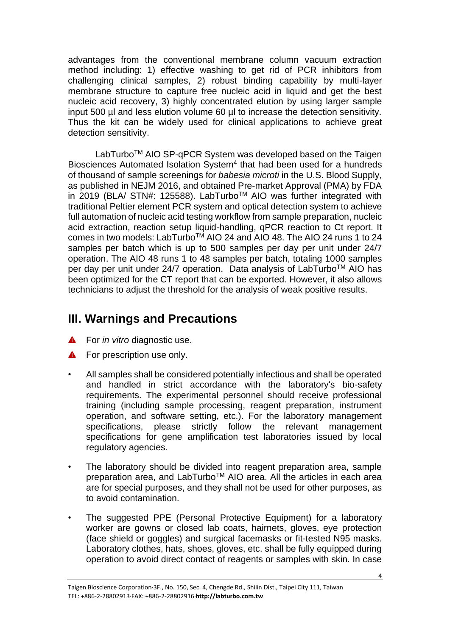advantages from the conventional membrane column vacuum extraction method including: 1) effective washing to get rid of PCR inhibitors from challenging clinical samples, 2) robust binding capability by multi-layer membrane structure to capture free nucleic acid in liquid and get the best nucleic acid recovery, 3) highly concentrated elution by using larger sample input 500 µl and less elution volume 60 µl to increase the detection sensitivity. Thus the kit can be widely used for clinical applications to achieve great detection sensitivity.

LabTurbo<sup>™</sup> AIO SP-qPCR System was developed based on the Taigen Biosciences Automated Isolation System<sup>4</sup> that had been used for a hundreds of thousand of sample screenings for *babesia microti* in the U.S. Blood Supply, as published in NEJM 2016, and obtained Pre-market Approval (PMA) by FDA in 2019 (BLA/ STN#: 125588). LabTurboTM AIO was further integrated with traditional Peltier element PCR system and optical detection system to achieve full automation of nucleic acid testing workflow from sample preparation, nucleic acid extraction, reaction setup liquid-handling, qPCR reaction to Ct report. It comes in two models: LabTurbo<sup>™</sup> AIO 24 and AIO 48. The AIO 24 runs 1 to 24 samples per batch which is up to 500 samples per day per unit under 24/7 operation. The AIO 48 runs 1 to 48 samples per batch, totaling 1000 samples per day per unit under 24/7 operation. Data analysis of LabTurbo™ AIO has been optimized for the CT report that can be exported. However, it also allows technicians to adjust the threshold for the analysis of weak positive results.

## <span id="page-3-0"></span>**III. Warnings and Precautions**

- For *in vitro* diagnostic use.  $\blacktriangle$
- **A** For prescription use only.
- All samples shall be considered potentially infectious and shall be operated and handled in strict accordance with the laboratory's bio-safety requirements. The experimental personnel should receive professional training (including sample processing, reagent preparation, instrument operation, and software setting, etc.). For the laboratory management specifications, please strictly follow the relevant management specifications for gene amplification test laboratories issued by local regulatory agencies.
- The laboratory should be divided into reagent preparation area, sample preparation area, and LabTurbo<sup>™</sup> AIO area. All the articles in each area are for special purposes, and they shall not be used for other purposes, as to avoid contamination.
- The suggested PPE (Personal Protective Equipment) for a laboratory worker are gowns or closed lab coats, hairnets, gloves, eye protection (face shield or goggles) and surgical facemasks or fit-tested N95 masks. Laboratory clothes, hats, shoes, gloves, etc. shall be fully equipped during operation to avoid direct contact of reagents or samples with skin. In case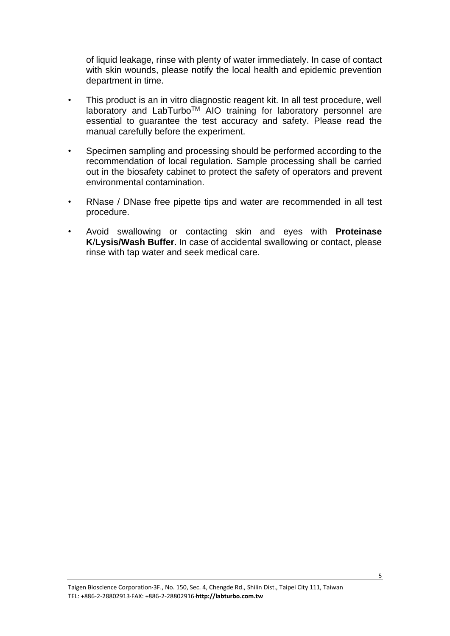of liquid leakage, rinse with plenty of water immediately. In case of contact with skin wounds, please notify the local health and epidemic prevention department in time.

- This product is an in vitro diagnostic reagent kit. In all test procedure, well laboratory and LabTurboTM AIO training for laboratory personnel are essential to guarantee the test accuracy and safety. Please read the manual carefully before the experiment.
- Specimen sampling and processing should be performed according to the recommendation of local regulation. Sample processing shall be carried out in the biosafety cabinet to protect the safety of operators and prevent environmental contamination.
- RNase / DNase free pipette tips and water are recommended in all test procedure.
- Avoid swallowing or contacting skin and eyes with **Proteinase K**/**Lysis/Wash Buffer**. In case of accidental swallowing or contact, please rinse with tap water and seek medical care.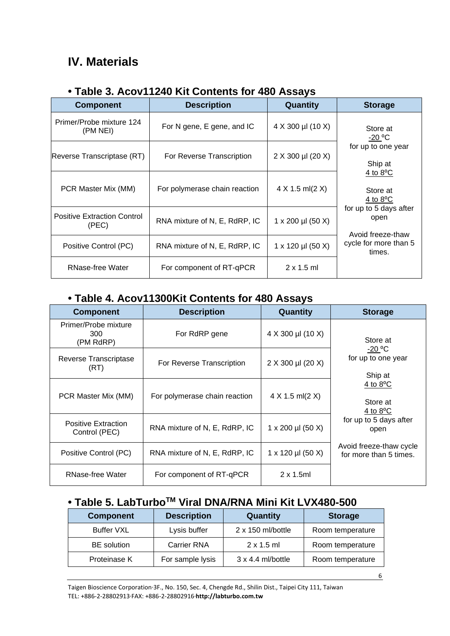## <span id="page-5-0"></span>**IV. Materials**

### **• Table 3. Acov11240 Kit Contents for 480 Assays**

| <b>Component</b>                            | <b>Description</b>            | Quantity                  | <b>Storage</b>                                       |
|---------------------------------------------|-------------------------------|---------------------------|------------------------------------------------------|
| Primer/Probe mixture 124<br>(PM NEI)        | For N gene, E gene, and IC    | 4 X 300 µl (10 X)         | Store at<br>$-20 °C$                                 |
| Reverse Transcriptase (RT)                  | For Reverse Transcription     | 2 X 300 µl (20 X)         | for up to one year<br>Ship at                        |
| PCR Master Mix (MM)                         | For polymerase chain reaction | $4 X 1.5$ ml(2 X)         | 4 to $8^{\circ}$ C<br>Store at<br>4 to $8^{\circ}$ C |
| <b>Positive Extraction Control</b><br>(PEC) | RNA mixture of N, E, RdRP, IC | $1 \times 200$ µl (50 X)  | for up to 5 days after<br>open<br>Avoid freeze-thaw  |
| Positive Control (PC)                       | RNA mixture of N, E, RdRP, IC | $1 \times 120 \mu$ (50 X) | cycle for more than 5<br>times.                      |
| RNase-free Water                            | For component of RT-qPCR      | $2 \times 1.5$ ml         |                                                      |

### **• Table 4. Acov11300Kit Contents for 480 Assays**

| <b>Component</b>                            | <b>Description</b>            | Quantity          | <b>Storage</b>                                       |
|---------------------------------------------|-------------------------------|-------------------|------------------------------------------------------|
| Primer/Probe mixture<br>300<br>(PM RdRP)    | For RdRP gene                 | 4 X 300 µl (10 X) | Store at                                             |
| Reverse Transcriptase<br>(RT)               | For Reverse Transcription     | 2 X 300 µl (20 X) | $-20 °C$<br>for up to one year<br>Ship at            |
| PCR Master Mix (MM)                         | For polymerase chain reaction | $4 X 1.5$ ml(2 X) | 4 to $8^{\circ}$ C<br>Store at<br>4 to $8^{\circ}$ C |
| <b>Positive Extraction</b><br>Control (PEC) | RNA mixture of N, E, RdRP, IC | 1 x 200 µl (50 X) | for up to 5 days after<br>open                       |
| Positive Control (PC)                       | RNA mixture of N, E, RdRP, IC | 1 x 120 µl (50 X) | Avoid freeze-thaw cycle<br>for more than 5 times.    |
| <b>RNase-free Water</b>                     | For component of RT-qPCR      | $2 \times 1.5$ ml |                                                      |

## **• Table 5. LabTurboTM Viral DNA/RNA Mini Kit LVX480-500**

| <b>Component</b>   | <b>Description</b> | Quantity                 | <b>Storage</b>   |
|--------------------|--------------------|--------------------------|------------------|
| <b>Buffer VXL</b>  | Lysis buffer       | $2 \times 150$ ml/bottle | Room temperature |
| <b>BE</b> solution | <b>Carrier RNA</b> | $2 \times 1.5$ ml        | Room temperature |
| Proteinase K       | For sample lysis   | $3 \times 4.4$ ml/bottle | Room temperature |

Taigen Bioscience Corporation‧3F., No. 150, Sec. 4, Chengde Rd., Shilin Dist., Taipei City 111, Taiwan TEL: +886-2-28802913‧FAX: +886-2-28802916‧**http://labturbo.com.tw**

6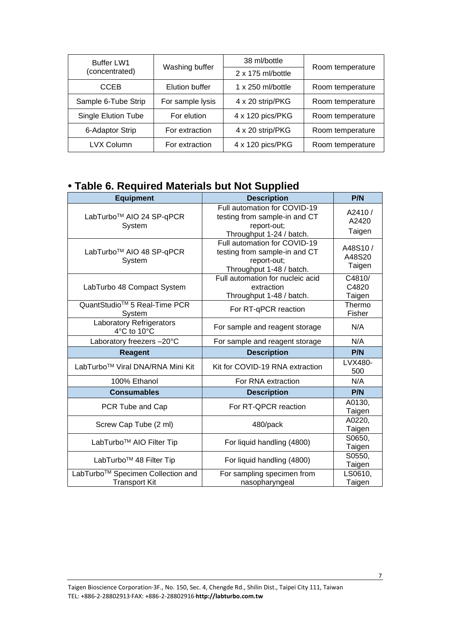| <b>Buffer LW1</b>          | Washing buffer   | 38 ml/bottle             | Room temperature |
|----------------------------|------------------|--------------------------|------------------|
| (concentrated)             |                  | 2 x 175 ml/bottle        |                  |
| <b>CCEB</b>                | Elution buffer   | $1 \times 250$ ml/bottle | Room temperature |
| Sample 6-Tube Strip        | For sample lysis | 4 x 20 strip/PKG         | Room temperature |
| <b>Single Elution Tube</b> | For elution      | 4 x 120 pics/PKG         | Room temperature |
| 6-Adaptor Strip            | For extraction   | 4 x 20 strip/PKG         | Room temperature |
| <b>LVX Column</b>          | For extraction   | 4 x 120 pics/PKG         | Room temperature |

### **• Table 6. Required Materials but Not Supplied**

| <b>Equipment</b>                                          | <b>Description</b>                                                                                       | P/N                         |
|-----------------------------------------------------------|----------------------------------------------------------------------------------------------------------|-----------------------------|
| LabTurbo <sup>™</sup> AIO 24 SP-qPCR<br>System            | Full automation for COVID-19<br>testing from sample-in and CT<br>report-out;<br>Throughput 1-24 / batch. | A2410/<br>A2420<br>Taigen   |
| LabTurbo <sup>™</sup> AIO 48 SP-qPCR<br>System            | Full automation for COVID-19<br>testing from sample-in and CT<br>report-out;<br>Throughput 1-48 / batch. | A48S10/<br>A48S20<br>Taigen |
| LabTurbo 48 Compact System                                | Full automation for nucleic acid<br>extraction<br>Throughput 1-48 / batch.                               | C4810/<br>C4820<br>Taigen   |
| QuantStudio <sup>™</sup> 5 Real-Time PCR<br>System        | For RT-qPCR reaction                                                                                     | Thermo<br>Fisher            |
| <b>Laboratory Refrigerators</b><br>4°C to 10°C            | For sample and reagent storage                                                                           | N/A                         |
| Laboratory freezers -20°C                                 | For sample and reagent storage                                                                           | N/A                         |
| <b>Reagent</b>                                            | <b>Description</b>                                                                                       | P/N                         |
| LabTurbo™ Viral DNA/RNA Mini Kit                          | Kit for COVID-19 RNA extraction                                                                          | LVX480-<br>500              |
| 100% Ethanol                                              | For RNA extraction                                                                                       | N/A                         |
| <b>Consumables</b>                                        | <b>Description</b>                                                                                       | P/N                         |
| PCR Tube and Cap                                          | For RT-QPCR reaction                                                                                     | A0130,<br>Taigen            |
| Screw Cap Tube (2 ml)                                     | 480/pack                                                                                                 | A0220,<br>Taigen            |
| LabTurbo <sup>™</sup> AIO Filter Tip                      | For liquid handling (4800)                                                                               | S0650,<br>Taigen            |
| LabTurbo <sup>™</sup> 48 Filter Tip                       | For liquid handling (4800)                                                                               | S0550,<br>Taigen            |
| LabTurbo™ Specimen Collection and<br><b>Transport Kit</b> | For sampling specimen from<br>nasopharyngeal                                                             | LS0610,<br>Taigen           |

7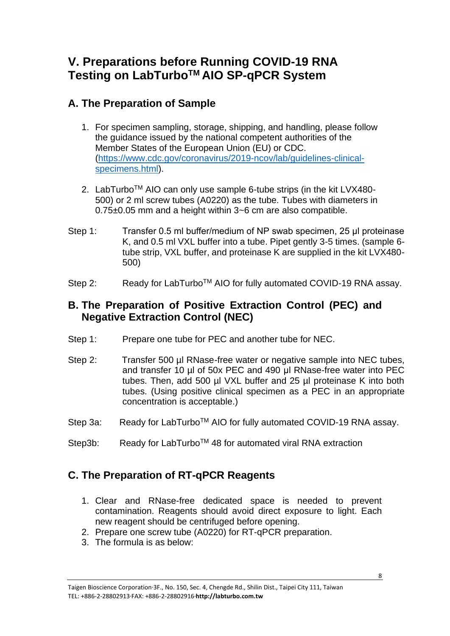## <span id="page-7-0"></span>**V. Preparations before Running COVID-19 RNA Testing on LabTurboTM AIO SP-qPCR System**

### **A. The Preparation of Sample**

- 1. For specimen sampling, storage, shipping, and handling, please follow the guidance issued by the national competent authorities of the Member States of the European Union (EU) or CDC. [\(https://www.cdc.gov/coronavirus/2019-ncov/lab/guidelines-clinical](https://www.cdc.gov/coronavirus/2019-ncov/lab/guidelines-clinical-specimens.html)[specimens.html\)](https://www.cdc.gov/coronavirus/2019-ncov/lab/guidelines-clinical-specimens.html).
- 2. LabTurbo™ AIO can only use sample 6-tube strips (in the kit LVX480-500) or 2 ml screw tubes (A0220) as the tube. Tubes with diameters in 0.75±0.05 mm and a height within 3~6 cm are also compatible.
- Step 1: Transfer 0.5 ml buffer/medium of NP swab specimen, 25 μl proteinase K, and 0.5 ml VXL buffer into a tube. Pipet gently 3-5 times. (sample 6 tube strip, VXL buffer, and proteinase K are supplied in the kit LVX480- 500)
- Step 2: Ready for LabTurbo<sup>™</sup> AIO for fully automated COVID-19 RNA assay.

### **B. The Preparation of Positive Extraction Control (PEC) and Negative Extraction Control (NEC)**

- Step 1: Prepare one tube for PEC and another tube for NEC.
- Step 2: Transfer 500 µl RNase-free water or negative sample into NEC tubes, and transfer 10 µl of 50x PEC and 490 μl RNase-free water into PEC tubes. Then, add 500 µl VXL buffer and 25 µl proteinase K into both tubes. (Using positive clinical specimen as a PEC in an appropriate concentration is acceptable.)
- Step 3a: Ready for LabTurbo<sup>™</sup> AIO for fully automated COVID-19 RNA assay.
- Step3b: Ready for LabTurbo<sup>™</sup> 48 for automated viral RNA extraction

### **C. The Preparation of RT-qPCR Reagents**

- 1. Clear and RNase-free dedicated space is needed to prevent contamination. Reagents should avoid direct exposure to light. Each new reagent should be centrifuged before opening.
- 2. Prepare one screw tube (A0220) for RT-qPCR preparation.
- 3. The formula is as below: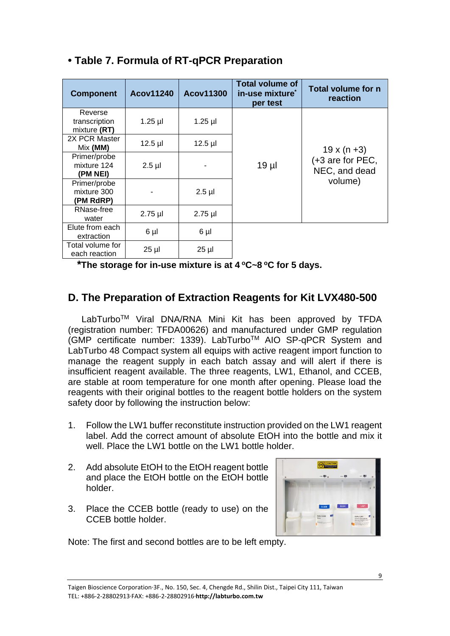| <b>Component</b>                         | <b>Acov11240</b> | <b>Acov11300</b> | <b>Total volume of</b><br>in-use mixture <sup>*</sup><br>per test | <b>Total volume for n</b><br>reaction |
|------------------------------------------|------------------|------------------|-------------------------------------------------------------------|---------------------------------------|
| Reverse<br>transcription<br>mixture (RT) | $1.25$ µl        | $1.25$ µl        |                                                                   |                                       |
| 2X PCR Master<br>Mix (MM)                | $12.5$ µl        | $12.5$ µl        |                                                                   | $19 \times (n + 3)$                   |
| Primer/probe<br>mixture 124<br>(PM NEI)  | $2.5$ µl         |                  | $19$ µl                                                           | (+3 are for PEC,<br>NEC, and dead     |
| Primer/probe<br>mixture 300<br>(PM RdRP) |                  | $2.5$ µl         |                                                                   | volume)                               |
| RNase-free<br>water                      | $2.75$ µl        | $2.75$ µl        |                                                                   |                                       |
| Elute from each<br>extraction            | $6 \mu$          | $6 \mu$          |                                                                   |                                       |
| Total volume for<br>each reaction        | $25$ µl          | $25 \mu$         |                                                                   |                                       |

### **• Table 7. Formula of RT-qPCR Preparation**

**\*The storage for in-use mixture is at 4 <sup>o</sup>C~8 <sup>o</sup>C for 5 days.** 

### **D. The Preparation of Extraction Reagents for Kit LVX480-500**

LabTurboTM Viral DNA/RNA Mini Kit has been approved by TFDA (registration number: TFDA00626) and manufactured under GMP regulation (GMP certificate number: 1339). LabTurboTM AIO SP-qPCR System and LabTurbo 48 Compact system all equips with active reagent import function to manage the reagent supply in each batch assay and will alert if there is insufficient reagent available. The three reagents, LW1, Ethanol, and CCEB, are stable at room temperature for one month after opening. Please load the reagents with their original bottles to the reagent bottle holders on the system safety door by following the instruction below:

- 1. Follow the LW1 buffer reconstitute instruction provided on the LW1 reagent label. Add the correct amount of absolute EtOH into the bottle and mix it well. Place the LW1 bottle on the LW1 bottle holder.
- 2. Add absolute EtOH to the EtOH reagent bottle and place the EtOH bottle on the EtOH bottle holder.
- 3. Place the CCEB bottle (ready to use) on the CCEB bottle holder.



Note: The first and second bottles are to be left empty.

Taigen Bioscience Corporation‧3F., No. 150, Sec. 4, Chengde Rd., Shilin Dist., Taipei City 111, Taiwan TEL: +886-2-28802913‧FAX: +886-2-28802916‧**http://labturbo.com.tw**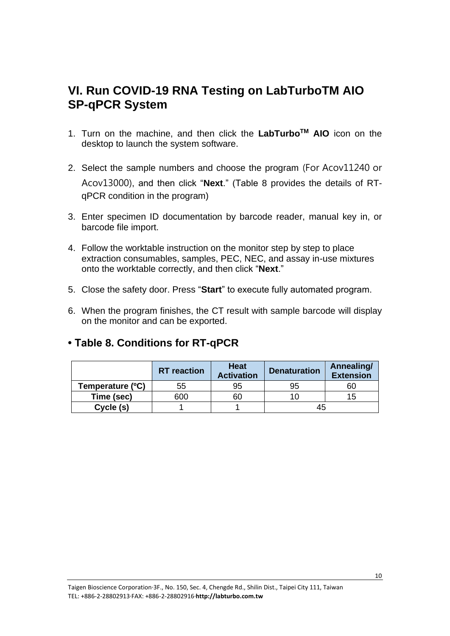## <span id="page-9-0"></span>**VI. Run COVID-19 RNA Testing on LabTurboTM AIO SP-qPCR System**

- 1. Turn on the machine, and then click the **LabTurboTM AIO** icon on the desktop to launch the system software.
- 2. Select the sample numbers and choose the program (For Acov11240 or Acov13000), and then click "**Next**." (Table 8 provides the details of RTqPCR condition in the program)
- 3. Enter specimen ID documentation by barcode reader, manual key in, or barcode file import.
- 4. Follow the worktable instruction on the monitor step by step to place extraction consumables, samples, PEC, NEC, and assay in-use mixtures onto the worktable correctly, and then click "**Next**."
- 5. Close the safety door. Press "**Start**" to execute fully automated program.
- 6. When the program finishes, the CT result with sample barcode will display on the monitor and can be exported.

#### **• Table 8. Conditions for RT-qPCR**

|                  | <b>RT</b> reaction | <b>Heat</b><br><b>Activation</b> | <b>Denaturation</b> | Annealing/<br><b>Extension</b> |
|------------------|--------------------|----------------------------------|---------------------|--------------------------------|
| Temperature (°C) | 55                 | 95                               | 95                  | 60                             |
| Time (sec)       | 600                | 60                               | 10.                 | 15                             |
| Cycle (s)        |                    |                                  | 45                  |                                |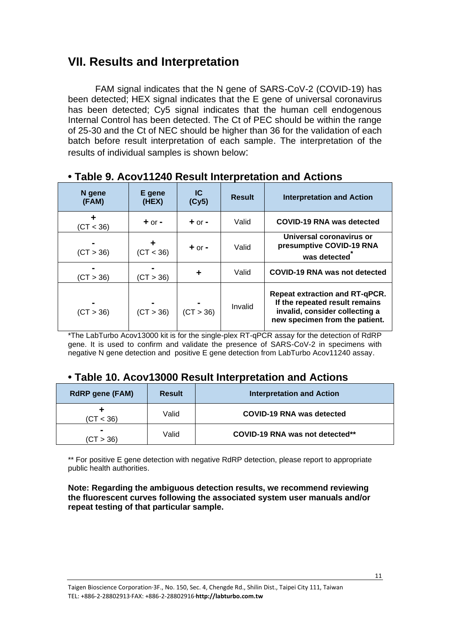## <span id="page-10-0"></span>**VII. Results and Interpretation**

FAM signal indicates that the N gene of SARS-CoV-2 (COVID-19) has been detected; HEX signal indicates that the E gene of universal coronavirus has been detected; Cy5 signal indicates that the human cell endogenous Internal Control has been detected. The Ct of PEC should be within the range of 25-30 and the Ct of NEC should be higher than 36 for the validation of each batch before result interpretation of each sample. The interpretation of the results of individual samples is shown below:

| N gene<br>(FAM) | E gene<br>(HEX) | IC.<br>(Cy5) | <b>Result</b> | <b>Interpretation and Action</b>                                                                                                            |
|-----------------|-----------------|--------------|---------------|---------------------------------------------------------------------------------------------------------------------------------------------|
| (CT < 36)       | $+$ or $-$      | $+$ or $-$   | Valid         | COVID-19 RNA was detected                                                                                                                   |
| (CT > 36)       | (CT < 36)       | $+$ or $-$   | Valid         | Universal coronavirus or<br>presumptive COVID-19 RNA<br>was detected                                                                        |
| (CT > 36)       | (CT > 36)       |              | Valid         | COVID-19 RNA was not detected                                                                                                               |
| (CT > 36)       | (CT > 36)       | (CT > 36)    | Invalid       | <b>Repeat extraction and RT-qPCR.</b><br>If the repeated result remains<br>invalid, consider collecting a<br>new specimen from the patient. |

#### **• Table 9. Acov11240 Result Interpretation and Actions**

\*The LabTurbo Acov13000 kit is for the single-plex RT-qPCR assay for the detection of RdRP gene. It is used to confirm and validate the presence of SARS-CoV-2 in specimens with negative N gene detection and positive E gene detection from LabTurbo Acov11240 assay.

#### **• Table 10. Acov13000 Result Interpretation and Actions**

| <b>RdRP gene (FAM)</b> | <b>Result</b> | <b>Interpretation and Action</b> |
|------------------------|---------------|----------------------------------|
| (CT < 36)              | Valid         | COVID-19 RNA was detected        |
| (CT > 36)              | Valid         | COVID-19 RNA was not detected**  |

\*\* For positive E gene detection with negative RdRP detection, please report to appropriate public health authorities.

**Note: Regarding the ambiguous detection results, we recommend reviewing the fluorescent curves following the associated system user manuals and/or repeat testing of that particular sample.**

Taigen Bioscience Corporation‧3F., No. 150, Sec. 4, Chengde Rd., Shilin Dist., Taipei City 111, Taiwan TEL: +886-2-28802913‧FAX: +886-2-28802916‧**http://labturbo.com.tw**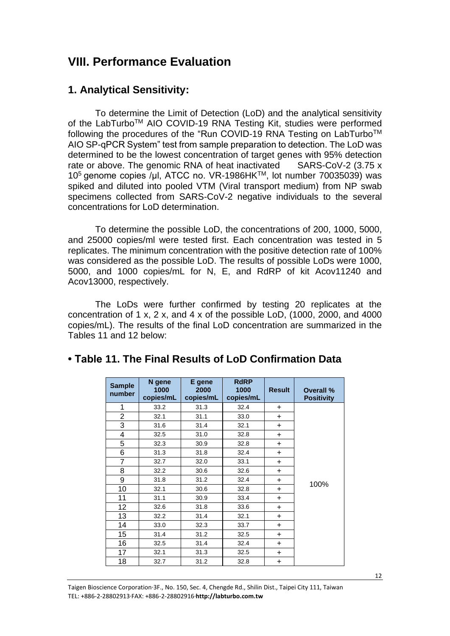### <span id="page-11-0"></span>**VIII. Performance Evaluation**

#### **1. Analytical Sensitivity:**

To determine the Limit of Detection (LoD) and the analytical sensitivity of the LabTurboTM AIO COVID-19 RNA Testing Kit, studies were performed following the procedures of the "Run COVID-19 RNA Testing on LabTurbo™ AIO SP-qPCR System" test from sample preparation to detection. The LoD was determined to be the lowest concentration of target genes with 95% detection rate or above. The genomic RNA of heat inactivated SARS-CoV-2 (3.75 x) 10<sup>5</sup> genome copies /μl, ATCC no. VR-1986HK<sup>™</sup>, lot number 70035039) was spiked and diluted into pooled VTM (Viral transport medium) from NP swab specimens collected from SARS-CoV-2 negative individuals to the several concentrations for LoD determination.

To determine the possible LoD, the concentrations of 200, 1000, 5000, and 25000 copies/ml were tested first. Each concentration was tested in 5 replicates. The minimum concentration with the positive detection rate of 100% was considered as the possible LoD. The results of possible LoDs were 1000, 5000, and 1000 copies/mL for N, E, and RdRP of kit Acov11240 and Acov13000, respectively.

The LoDs were further confirmed by testing 20 replicates at the concentration of 1 x, 2 x, and 4 x of the possible LoD, (1000, 2000, and 4000 copies/mL). The results of the final LoD concentration are summarized in the Tables 11 and 12 below:

| <b>Sample</b><br>number | N gene<br>1000<br>copies/mL | E gene<br>2000<br>copies/mL | <b>RdRP</b><br>1000<br>copies/mL | <b>Result</b> | Overall %<br><b>Positivity</b> |
|-------------------------|-----------------------------|-----------------------------|----------------------------------|---------------|--------------------------------|
| 1                       | 33.2                        | 31.3                        | 32.4                             | $\ddot{}$     |                                |
| $\overline{c}$          | 32.1                        | 31.1                        | 33.0                             | $+$           |                                |
| 3                       | 31.6                        | 31.4                        | 32.1                             | $\ddot{}$     |                                |
| 4                       | 32.5                        | 31.0                        | 32.8                             | $\ddot{}$     |                                |
| 5                       | 32.3                        | 30.9                        | 32.8                             | $+$           |                                |
| 6                       | 31.3                        | 31.8                        | 32.4                             | $\ddot{}$     |                                |
| $\overline{7}$          | 32.7                        | 32.0                        | 33.1                             | $\ddot{}$     |                                |
| 8                       | 32.2                        | 30.6                        | 32.6                             | $\ddot{}$     |                                |
| 9                       | 31.8                        | 31.2                        | 32.4                             | $\ddot{}$     | 100%                           |
| 10                      | 32.1                        | 30.6                        | 32.8                             | $+$           |                                |
| 11                      | 31.1                        | 30.9                        | 33.4                             | $\ddot{}$     |                                |
| 12                      | 32.6                        | 31.8                        | 33.6                             | $\ddot{}$     |                                |
| 13                      | 32.2                        | 31.4                        | 32.1                             | $\ddot{}$     |                                |
| 14                      | 33.0                        | 32.3                        | 33.7                             | $\ddot{}$     |                                |
| 15                      | 31.4                        | 31.2                        | 32.5                             | $\ddot{}$     |                                |
| 16                      | 32.5                        | 31.4                        | 32.4                             | $+$           |                                |
| 17                      | 32.1                        | 31.3                        | 32.5                             | $\ddot{}$     |                                |
| 18                      | 32.7                        | 31.2                        | 32.8                             | $\ddot{}$     |                                |

#### **• Table 11. The Final Results of LoD Confirmation Data**

Taigen Bioscience Corporation‧3F., No. 150, Sec. 4, Chengde Rd., Shilin Dist., Taipei City 111, Taiwan TEL: +886-2-28802913‧FAX: +886-2-28802916‧**http://labturbo.com.tw**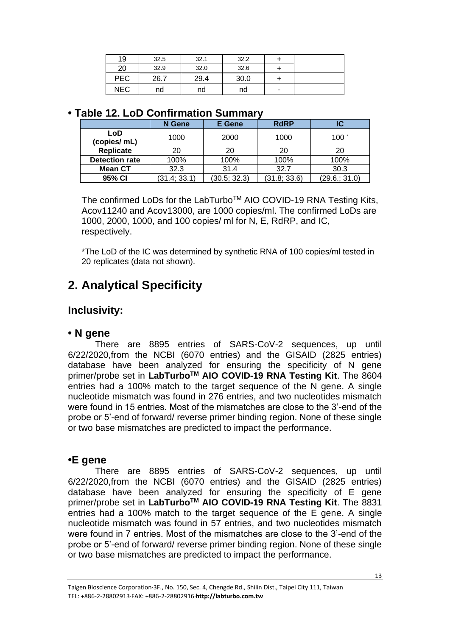| 19         | 32.5 | 32.1 | 32.2 |   |  |
|------------|------|------|------|---|--|
| 20         | 32.9 | 32.0 | 32.6 |   |  |
| <b>PEC</b> | 26.7 | 29.4 | 30.0 |   |  |
| <b>NEC</b> | nd   | nd   | nd   | ٠ |  |

#### **• Table 12. LoD Confirmation Summary**

|                       | N Gene       | E Gene       | <b>RdRP</b>  | IC            |
|-----------------------|--------------|--------------|--------------|---------------|
| LoD<br>(copies/ mL)   | 1000         | 2000         | 1000         | 100 $\degree$ |
| <b>Replicate</b>      | 20           | 20           | 20           | 20            |
| <b>Detection rate</b> | 100%         | 100%         | 100%         | 100%          |
| <b>Mean CT</b>        | 32.3         | 31.4         | 32.7         | 30.3          |
| 95% CI                | (31.4; 33.1) | (30.5; 32.3) | (31.8; 33.6) | (29.6.; 31.0) |

The confirmed LoDs for the LabTurbo™ AIO COVID-19 RNA Testing Kits, Acov11240 and Acov13000, are 1000 copies/ml. The confirmed LoDs are 1000, 2000, 1000, and 100 copies/ ml for N, E, RdRP, and IC, respectively.

\*The LoD of the IC was determined by synthetic RNA of 100 copies/ml tested in 20 replicates (data not shown).

## **2. Analytical Specificity**

### **Inclusivity:**

#### **• N gene**

There are 8895 entries of SARS-CoV-2 sequences, up until 6/22/2020,from the NCBI (6070 entries) and the GISAID (2825 entries) database have been analyzed for ensuring the specificity of N gene primer/probe set in **LabTurboTM AIO COVID-19 RNA Testing Kit**. The 8604 entries had a 100% match to the target sequence of the N gene. A single nucleotide mismatch was found in 276 entries, and two nucleotides mismatch were found in 15 entries. Most of the mismatches are close to the 3'-end of the probe or 5'-end of forward/ reverse primer binding region. None of these single or two base mismatches are predicted to impact the performance.

#### **•E gene**

There are 8895 entries of SARS-CoV-2 sequences, up until 6/22/2020,from the NCBI (6070 entries) and the GISAID (2825 entries) database have been analyzed for ensuring the specificity of E gene primer/probe set in **LabTurboTM AIO COVID-19 RNA Testing Kit**. The 8831 entries had a 100% match to the target sequence of the E gene. A single nucleotide mismatch was found in 57 entries, and two nucleotides mismatch were found in 7 entries. Most of the mismatches are close to the 3'-end of the probe or 5'-end of forward/ reverse primer binding region. None of these single or two base mismatches are predicted to impact the performance.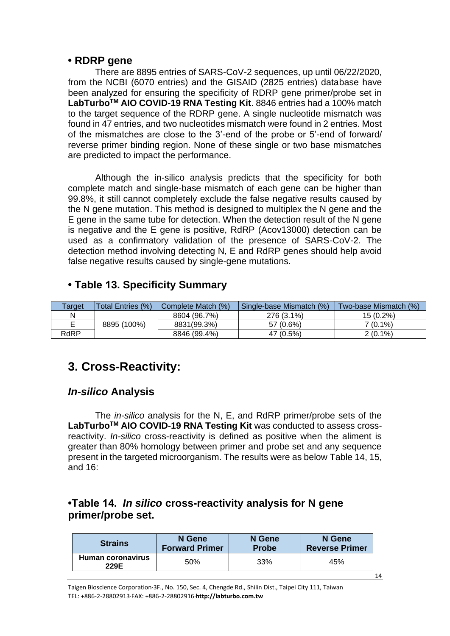#### **• RDRP gene**

There are 8895 entries of SARS-CoV-2 sequences, up until 06/22/2020, from the NCBI (6070 entries) and the GISAID (2825 entries) database have been analyzed for ensuring the specificity of RDRP gene primer/probe set in **LabTurboTM AIO COVID-19 RNA Testing Kit**. 8846 entries had a 100% match to the target sequence of the RDRP gene. A single nucleotide mismatch was found in 47 entries, and two nucleotides mismatch were found in 2 entries. Most of the mismatches are close to the 3'-end of the probe or 5'-end of forward/ reverse primer binding region. None of these single or two base mismatches are predicted to impact the performance.

Although the in-silico analysis predicts that the specificity for both complete match and single-base mismatch of each gene can be higher than 99.8%, it still cannot completely exclude the false negative results caused by the N gene mutation. This method is designed to multiplex the N gene and the E gene in the same tube for detection. When the detection result of the N gene is negative and the E gene is positive, RdRP (Acov13000) detection can be used as a confirmatory validation of the presence of SARS-CoV-2. The detection method involving detecting N, E and RdRP genes should help avoid false negative results caused by single-gene mutations.

### **• Table 13. Specificity Summary**

| Гarget | <b>Total Entries (%)</b> | Complete Match (%) | Single-base Mismatch (%) | Two-base Mismatch (%) |
|--------|--------------------------|--------------------|--------------------------|-----------------------|
| N      |                          | 8604 (96.7%)       | 276 (3.1%)               | 15 (0.2%)             |
|        | 8895 (100%)              | 8831(99.3%)        | 57 (0.6%)                | $7(0.1\%)$            |
| RdRP   |                          | 8846 (99.4%)       | 47 (0.5%)                | $2(0.1\%)$            |

## **3. Cross-Reactivity:**

#### *In-silico* **Analysis**

The *in-silico* analysis for the N, E, and RdRP primer/probe sets of the **LabTurboTM AIO COVID-19 RNA Testing Kit** was conducted to assess crossreactivity. *In-silico* cross-reactivity is defined as positive when the aliment is greater than 80% homology between primer and probe set and any sequence present in the targeted microorganism. The results were as below Table 14, 15, and 16:

### **•Table 14.** *In silico* **cross-reactivity analysis for N gene primer/probe set.**

| <b>Strains</b>            | N Gene                | N Gene       | N Gene                |
|---------------------------|-----------------------|--------------|-----------------------|
|                           | <b>Forward Primer</b> | <b>Probe</b> | <b>Reverse Primer</b> |
| Human coronavirus<br>229E | 50%                   | 33%          | 45%                   |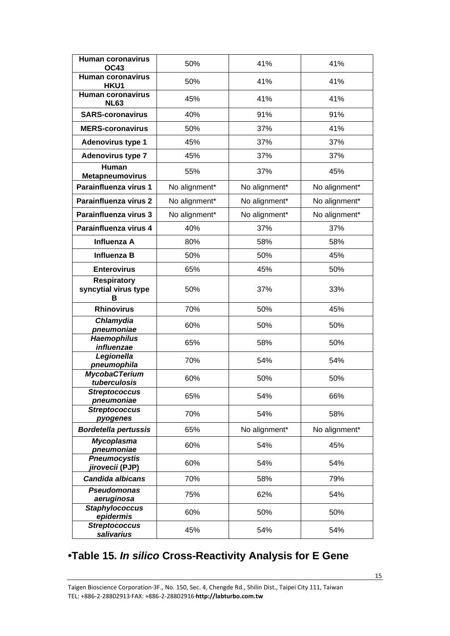| <b>Human coronavirus</b><br><b>OC43</b>         | 50%           | 41%<br>41%    |               |  |
|-------------------------------------------------|---------------|---------------|---------------|--|
| <b>Human coronavirus</b><br>HKU1                | 50%           | 41%           | 41%           |  |
| Human coronavirus<br><b>NL63</b>                | 45%           | 41%           | 41%           |  |
| <b>SARS-coronavirus</b>                         | 40%           | 91%           | 91%           |  |
| <b>MERS-coronavirus</b>                         | 50%           | 37%           | 41%           |  |
| <b>Adenovirus type 1</b>                        | 45%           | 37%           | 37%           |  |
| <b>Adenovirus type 7</b>                        | 45%           | 37%           | 37%           |  |
| <b>Human</b><br><b>Metapneumovirus</b>          | 55%           | 37%           | 45%           |  |
| Parainfluenza virus 1                           | No alignment* | No alignment* | No alignment* |  |
| Parainfluenza virus 2                           | No alignment* | No alignment* | No alignment* |  |
| Parainfluenza virus 3                           | No alignment* | No alignment* | No alignment* |  |
| Parainfluenza virus 4                           | 40%           | 37%           | 37%           |  |
| Influenza A                                     | 80%           | 58%           | 58%           |  |
| <b>Influenza B</b>                              | 50%           | 50%           | 45%           |  |
| <b>Enterovirus</b>                              | 65%           | 45%           | 50%           |  |
| <b>Respiratory</b><br>syncytial virus type<br>в | 50%           | 37%           | 33%           |  |
| <b>Rhinovirus</b>                               | 70%           | 50%           | 45%           |  |
| Chlamydia<br>pneumoniae                         | 60%           | 50%           | 50%           |  |
| <b>Haemophilus</b><br>influenzae                | 65%           | 58%           | 50%           |  |
| Legionella<br>pneumophila                       | 70%           | 54%           | 54%           |  |
| <b>MycobaCTerium</b><br>tuberculosis            | 60%           | 50%           | 50%           |  |
| <b>Streptococcus</b><br>pneumoniae              | 65%           | 54%           | 66%           |  |
| <b>Streptococcus</b><br>pyogenes                | 70%           | 54%           | 58%           |  |
| <b>Bordetella pertussis</b>                     | 65%           | No alignment* | No alignment* |  |
| <b>Mycoplasma</b><br>pneumoniae                 | 60%           | 54%           | 45%           |  |
| <b>Pneumocystis</b><br>jirovecii (PJP)          | 60%           | 54%           | 54%           |  |
| <b>Candida albicans</b>                         | 70%           | 58%           | 79%           |  |
| <b>Pseudomonas</b><br>aeruginosa                | 75%           | 62%           | 54%           |  |
| <b>Staphylococcus</b><br>epidermis              | 60%           | 50%           | 50%           |  |
| <b>Streptococcus</b><br>salivarius              | 45%           | 54%           | 54%           |  |

## **•Table 15.** *In silico* **Cross-Reactivity Analysis for E Gene**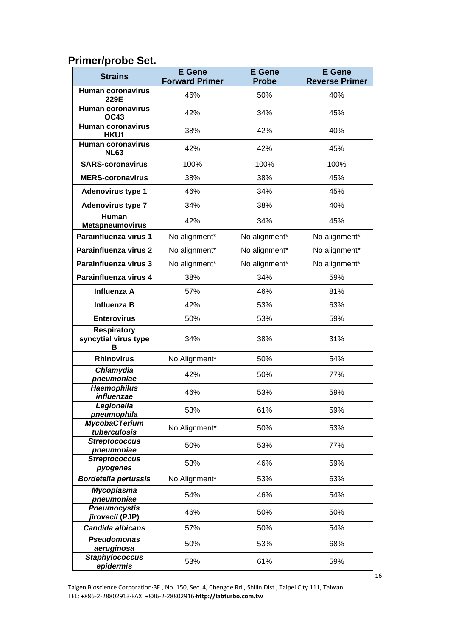### **Primer/probe Set.**

| <b>Strains</b>                                  | <b>E</b> Gene<br><b>Forward Primer</b> | <b>E</b> Gene<br><b>Probe</b> | <b>E</b> Gene<br><b>Reverse Primer</b> |  |
|-------------------------------------------------|----------------------------------------|-------------------------------|----------------------------------------|--|
| <b>Human coronavirus</b>                        |                                        |                               |                                        |  |
| 229E                                            | 46%                                    | 50%                           | 40%                                    |  |
| <b>Human coronavirus</b><br><b>OC43</b>         | 42%                                    | 34%                           | 45%                                    |  |
| <b>Human coronavirus</b><br>HKU1                | 38%                                    | 42%                           | 40%                                    |  |
| <b>Human coronavirus</b><br><b>NL63</b>         | 42%<br>42%                             |                               | 45%                                    |  |
| <b>SARS-coronavirus</b>                         | 100%                                   | 100%                          | 100%                                   |  |
| <b>MERS-coronavirus</b>                         | 38%                                    | 38%                           | 45%                                    |  |
| <b>Adenovirus type 1</b>                        | 46%                                    | 34%                           | 45%                                    |  |
| <b>Adenovirus type 7</b>                        | 34%                                    | 38%                           | 40%                                    |  |
| Human<br><b>Metapneumovirus</b>                 | 42%                                    | 34%                           | 45%                                    |  |
| Parainfluenza virus 1                           | No alignment*                          | No alignment*                 | No alignment*                          |  |
| Parainfluenza virus 2                           | No alignment*                          | No alignment*                 | No alignment*                          |  |
| Parainfluenza virus 3                           | No alignment*                          | No alignment*                 | No alignment*                          |  |
| Parainfluenza virus 4                           | 38%                                    | 34%                           | 59%                                    |  |
| Influenza A                                     | 57%                                    | 46%                           | 81%                                    |  |
| Influenza B                                     | 42%                                    | 53%                           | 63%                                    |  |
| <b>Enterovirus</b>                              | 50%                                    | 53%                           | 59%                                    |  |
| <b>Respiratory</b><br>syncytial virus type<br>в | 34%                                    | 38%                           | 31%                                    |  |
| <b>Rhinovirus</b>                               | No Alignment*                          | 50%                           | 54%                                    |  |
| Chlamydia<br>pneumoniae                         | 42%                                    | 50%                           | 77%                                    |  |
| <b>Haemophilus</b><br>influenzae                | 46%                                    | 53%                           | 59%                                    |  |
| Legionella<br>pneumophila                       | 53%                                    | 61%                           | 59%                                    |  |
| <b>MycobaCTerium</b><br>tuberculosis            | No Alignment*                          | 50%                           | 53%                                    |  |
| <b>Streptococcus</b><br>pneumoniae              | 50%                                    | 53%                           | 77%                                    |  |
| <b>Streptococcus</b><br>pyogenes                | 53%                                    | 46%                           | 59%                                    |  |
| <b>Bordetella pertussis</b>                     | No Alignment*                          | 53%                           | 63%                                    |  |
| <b>Mycoplasma</b><br>pneumoniae                 | 54%                                    | 46%                           | 54%                                    |  |
| <b>Pneumocystis</b><br>jirovecii (PJP)          | 46%                                    | 50%                           | 50%                                    |  |
| <b>Candida albicans</b>                         | 57%                                    | 50%                           | 54%                                    |  |
| <b>Pseudomonas</b><br>aeruginosa                | 50%                                    | 53%                           | 68%                                    |  |
| <b>Staphylococcus</b><br>epidermis              | 53%                                    | 61%                           | 59%                                    |  |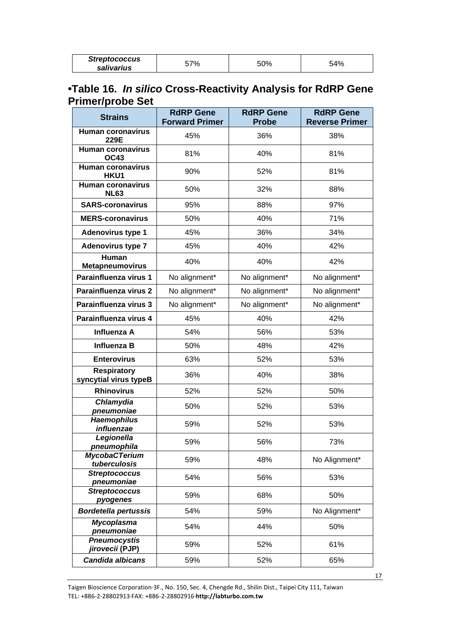| <b>Streptococcus</b> | -7% | 50% | 54% |
|----------------------|-----|-----|-----|
| salivarius           |     |     |     |

### **•Table 16.** *In silico* **Cross-Reactivity Analysis for RdRP Gene Primer/probe Set**

| <b>Strains</b>                              | <b>RdRP Gene</b><br><b>Forward Primer</b> | <b>RdRP Gene</b><br><b>Probe</b> | <b>RdRP Gene</b><br><b>Reverse Primer</b> |  |
|---------------------------------------------|-------------------------------------------|----------------------------------|-------------------------------------------|--|
| <b>Human coronavirus</b>                    | 45%                                       | 36%                              | 38%                                       |  |
| 229E<br><b>Human coronavirus</b>            |                                           |                                  |                                           |  |
| <b>OC43</b>                                 | 81%                                       | 40%                              | 81%                                       |  |
| <b>Human coronavirus</b><br>HKU1            | 90%                                       | 52%                              | 81%                                       |  |
| <b>Human coronavirus</b><br><b>NL63</b>     | 50%                                       | 32%                              | 88%                                       |  |
| <b>SARS-coronavirus</b>                     | 95%                                       | 88%                              | 97%                                       |  |
| <b>MERS-coronavirus</b>                     | 50%                                       | 40%                              | 71%                                       |  |
| <b>Adenovirus type 1</b>                    | 45%                                       | 36%                              | 34%                                       |  |
| <b>Adenovirus type 7</b>                    | 45%                                       | 40%                              | 42%                                       |  |
| Human<br><b>Metapneumovirus</b>             | 40%                                       | 40%                              | 42%                                       |  |
| Parainfluenza virus 1                       | No alignment*                             | No alignment*                    | No alignment*                             |  |
| Parainfluenza virus 2                       | No alignment*                             | No alignment*                    | No alignment*                             |  |
| Parainfluenza virus 3                       | No alignment*                             | No alignment*                    | No alignment*                             |  |
| Parainfluenza virus 4                       | 45%                                       | 40%                              | 42%                                       |  |
| Influenza A                                 | 54%                                       | 56%                              | 53%                                       |  |
| Influenza B                                 | 50%                                       | 48%                              | 42%                                       |  |
| <b>Enterovirus</b>                          | 63%                                       | 52%                              | 53%                                       |  |
| <b>Respiratory</b><br>syncytial virus typeB | 36%                                       | 40%                              | 38%                                       |  |
| <b>Rhinovirus</b>                           | 52%                                       | 52%                              | 50%                                       |  |
| Chlamydia<br>pneumoniae                     | 50%                                       | 52%                              | 53%                                       |  |
| <b>Haemophilus</b><br>influenzae            | 59%                                       | 52%                              | 53%                                       |  |
| Legionella<br><u>pneumop</u> hila           | 59%                                       | 56%                              | 73%                                       |  |
| <b>MycobaCTerium</b><br>tuberculosis        | 59%                                       | 48%                              | No Alignment*                             |  |
| <b>Streptococcus</b><br>pneumoniae          | 54%                                       | 56%                              | 53%                                       |  |
| <b>Streptococcus</b><br>pyogenes            | 59%                                       | 68%                              | 50%                                       |  |
| <b>Bordetella pertussis</b>                 | 54%                                       | 59%                              | No Alignment*                             |  |
| <b>Mycoplasma</b><br>pneumoniae             | 54%                                       | 44%                              | 50%                                       |  |
| <b>Pneumocystis</b><br>jirovecii (PJP)      | 59%                                       | 52%                              | 61%                                       |  |
| Candida albicans                            | 59%                                       | 52%                              | 65%                                       |  |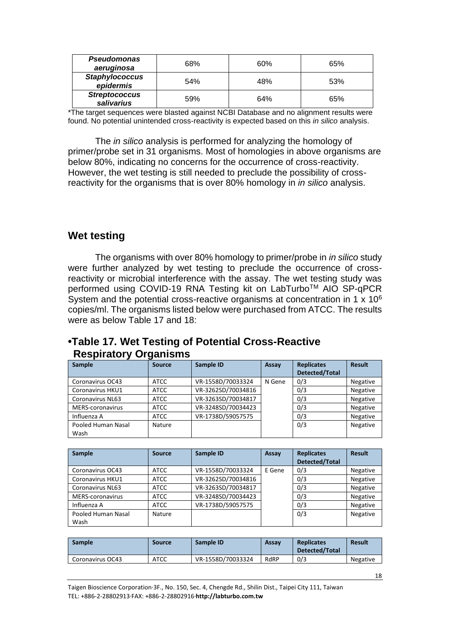| <b>Pseudomonas</b><br>aeruginosa   | 68% | 60% | 65% |
|------------------------------------|-----|-----|-----|
| <b>Staphylococcus</b><br>epidermis | 54% | 48% | 53% |
| <b>Streptococcus</b><br>salivarius | 59% | 64% | 65% |

\*The target sequences were blasted against NCBI Database and no alignment results were found. No potential unintended cross-reactivity is expected based on this *in silico* analysis.

The *in silico* analysis is performed for analyzing the homology of primer/probe set in 31 organisms. Most of homologies in above organisms are below 80%, indicating no concerns for the occurrence of cross-reactivity. However, the wet testing is still needed to preclude the possibility of crossreactivity for the organisms that is over 80% homology in *in silico* analysis.

#### **Wet testing**

The organisms with over 80% homology to primer/probe in *in silico* study were further analyzed by wet testing to preclude the occurrence of crossreactivity or microbial interference with the assay. The wet testing study was performed using COVID-19 RNA Testing kit on LabTurbo™ AIO SP-qPCR System and the potential cross-reactive organisms at concentration in 1 x 10<sup>6</sup> copies/ml. The organisms listed below were purchased from ATCC. The results were as below Table 17 and 18:

#### **•Table 17. Wet Testing of Potential Cross-Reactive Respiratory Organisms**

| Sample                  | <b>Source</b> | Sample ID          | Assay  | <b>Replicates</b> | <b>Result</b>   |
|-------------------------|---------------|--------------------|--------|-------------------|-----------------|
|                         |               |                    |        | Detected/Total    |                 |
| Coronavirus OC43        | <b>ATCC</b>   | VR-1558D/70033324  | N Gene | 0/3               | <b>Negative</b> |
| <b>Coronavirus HKU1</b> | <b>ATCC</b>   | VR-3262SD/70034816 |        | 0/3               | Negative        |
| <b>Coronavirus NL63</b> | <b>ATCC</b>   | VR-3263SD/70034817 |        | 0/3               | Negative        |
| MERS-coronavirus        | <b>ATCC</b>   | VR-3248SD/70034423 |        | 0/3               | Negative        |
| Influenza A             | <b>ATCC</b>   | VR-1738D/59057575  |        | 0/3               | Negative        |
| Pooled Human Nasal      | Nature        |                    |        | 0/3               | Negative        |
| Wash                    |               |                    |        |                   |                 |

| Sample                  | <b>Source</b> | Sample ID          | Assay  | <b>Replicates</b><br><b>Detected/Total</b> | <b>Result</b>   |
|-------------------------|---------------|--------------------|--------|--------------------------------------------|-----------------|
| Coronavirus OC43        | <b>ATCC</b>   | VR-1558D/70033324  | E Gene | 0/3                                        | <b>Negative</b> |
| Coronavirus HKU1        | <b>ATCC</b>   | VR-3262SD/70034816 |        | 0/3                                        | Negative        |
| Coronavirus NL63        | <b>ATCC</b>   | VR-3263SD/70034817 |        | 0/3                                        | Negative        |
| <b>MERS-coronavirus</b> | <b>ATCC</b>   | VR-3248SD/70034423 |        | 0/3                                        | Negative        |
| Influenza A             | <b>ATCC</b>   | VR-1738D/59057575  |        | 0/3                                        | Negative        |
| Pooled Human Nasal      | Nature        |                    |        | 0/3                                        | Negative        |
| Wash                    |               |                    |        |                                            |                 |

| <b>Sample</b>    | <b>Source</b> | Sample ID         | Assav | <b>Replicates</b><br>Detected/Total | Result   |
|------------------|---------------|-------------------|-------|-------------------------------------|----------|
| Coronavirus OC43 | <b>ATCC</b>   | VR-1558D/70033324 | RdRP  | 0/3                                 | Negative |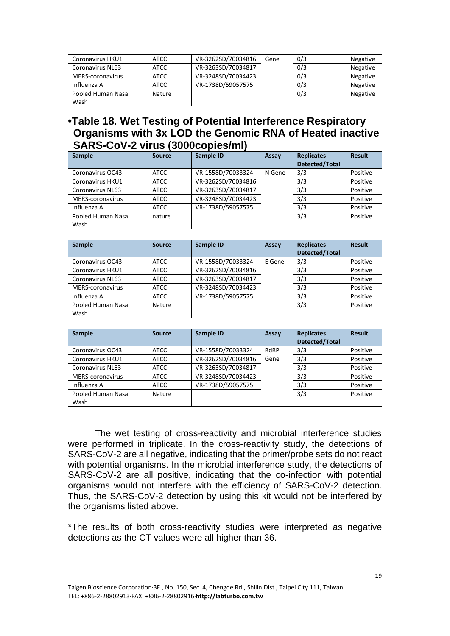| Coronavirus HKU1        | <b>ATCC</b> | VR-3262SD/70034816        | 0/3<br>Gene |     | Negative        |
|-------------------------|-------------|---------------------------|-------------|-----|-----------------|
| <b>Coronavirus NL63</b> | <b>ATCC</b> | VR-3263SD/70034817<br>0/3 |             |     | <b>Negative</b> |
| MERS-coronavirus        | ATCC        | VR-3248SD/70034423        |             | 0/3 | <b>Negative</b> |
| Influenza A             | <b>ATCC</b> | VR-1738D/59057575         |             | 0/3 | <b>Negative</b> |
| Pooled Human Nasal      | Nature      |                           |             | 0/3 | <b>Negative</b> |
| Wash                    |             |                           |             |     |                 |

#### **•Table 18. Wet Testing of Potential Interference Respiratory Organisms with 3x LOD the Genomic RNA of Heated inactive SARS-CoV-2 virus (3000copies/ml)**

| Sample                  | <b>Source</b> | Sample ID          | Assay  | <b>Replicates</b>     | <b>Result</b> |
|-------------------------|---------------|--------------------|--------|-----------------------|---------------|
|                         |               |                    |        | <b>Detected/Total</b> |               |
| Coronavirus OC43        | <b>ATCC</b>   | VR-1558D/70033324  | N Gene | 3/3                   | Positive      |
| Coronavirus HKU1        | <b>ATCC</b>   | VR-3262SD/70034816 |        | 3/3                   | Positive      |
| <b>Coronavirus NL63</b> | <b>ATCC</b>   | VR-3263SD/70034817 |        | 3/3                   | Positive      |
| MERS-coronavirus        | <b>ATCC</b>   | VR-3248SD/70034423 |        | 3/3                   | Positive      |
| Influenza A             | <b>ATCC</b>   | VR-1738D/59057575  |        | 3/3                   | Positive      |
| Pooled Human Nasal      | nature        |                    |        | 3/3                   | Positive      |
| Wash                    |               |                    |        |                       |               |

| <b>Sample</b>           | <b>Source</b> | Sample ID          | Assay  | <b>Replicates</b><br><b>Detected/Total</b> | <b>Result</b> |
|-------------------------|---------------|--------------------|--------|--------------------------------------------|---------------|
| Coronavirus OC43        | <b>ATCC</b>   | VR-1558D/70033324  | E Gene | 3/3                                        | Positive      |
| Coronavirus HKU1        | <b>ATCC</b>   | VR-3262SD/70034816 |        | 3/3                                        | Positive      |
| <b>Coronavirus NL63</b> | <b>ATCC</b>   | VR-3263SD/70034817 |        | 3/3                                        | Positive      |
| MERS-coronavirus        | <b>ATCC</b>   | VR-3248SD/70034423 |        | 3/3                                        | Positive      |
| Influenza A             | <b>ATCC</b>   | VR-1738D/59057575  |        | 3/3                                        | Positive      |
| Pooled Human Nasal      | Nature        |                    |        | 3/3                                        | Positive      |
| Wash                    |               |                    |        |                                            |               |

| Sample                  | <b>Source</b> | Sample ID          | Assay | <b>Replicates</b><br><b>Detected/Total</b> | <b>Result</b> |
|-------------------------|---------------|--------------------|-------|--------------------------------------------|---------------|
| Coronavirus OC43        | <b>ATCC</b>   | VR-1558D/70033324  | RdRP  | 3/3                                        | Positive      |
| Coronavirus HKU1        | <b>ATCC</b>   | VR-3262SD/70034816 | Gene  | 3/3                                        | Positive      |
| <b>Coronavirus NL63</b> | <b>ATCC</b>   | VR-3263SD/70034817 |       | 3/3                                        | Positive      |
| MERS-coronavirus        | <b>ATCC</b>   | VR-3248SD/70034423 |       | 3/3                                        | Positive      |
| Influenza A             | <b>ATCC</b>   | VR-1738D/59057575  |       | 3/3                                        | Positive      |
| Pooled Human Nasal      | <b>Nature</b> |                    |       | 3/3                                        | Positive      |
| Wash                    |               |                    |       |                                            |               |

The wet testing of cross-reactivity and microbial interference studies were performed in triplicate. In the cross-reactivity study, the detections of SARS-CoV-2 are all negative, indicating that the primer/probe sets do not react with potential organisms. In the microbial interference study, the detections of SARS-CoV-2 are all positive, indicating that the co-infection with potential organisms would not interfere with the efficiency of SARS-CoV-2 detection. Thus, the SARS-CoV-2 detection by using this kit would not be interfered by the organisms listed above.

\*The results of both cross-reactivity studies were interpreted as negative detections as the CT values were all higher than 36.

Taigen Bioscience Corporation‧3F., No. 150, Sec. 4, Chengde Rd., Shilin Dist., Taipei City 111, Taiwan TEL: +886-2-28802913‧FAX: +886-2-28802916‧**http://labturbo.com.tw**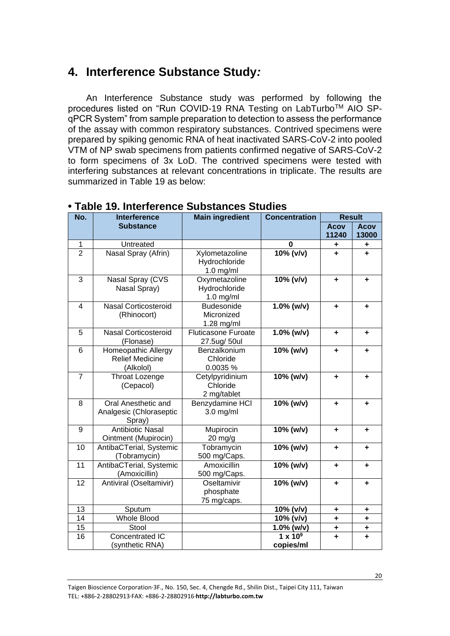## **4. Interference Substance Study***:*

An Interference Substance study was performed by following the procedures listed on "Run COVID-19 RNA Testing on LabTurbo™ AIO SPqPCR System" from sample preparation to detection to assess the performance of the assay with common respiratory substances. Contrived specimens were prepared by spiking genomic RNA of heat inactivated SARS-CoV-2 into pooled VTM of NP swab specimens from patients confirmed negative of SARS-CoV-2 to form specimens of 3x LoD. The contrived specimens were tested with interfering substances at relevant concentrations in triplicate. The results are summarized in Table 19 as below:

| No.             | <b>Interference</b>         | <b>Main ingredient</b>     | <b>Concentration</b> | <b>Result</b> |             |
|-----------------|-----------------------------|----------------------------|----------------------|---------------|-------------|
|                 | <b>Substance</b>            |                            |                      | <b>Acov</b>   | <b>Acov</b> |
|                 |                             |                            |                      | 11240         | 13000       |
| $\mathbf 1$     | Untreated                   |                            | $\bf{0}$             | ٠             | ٠           |
| $\overline{2}$  | Nasal Spray (Afrin)         | Xylometazoline             | 10% (v/v)            | ÷             | ÷           |
|                 |                             | Hydrochloride              |                      |               |             |
|                 |                             | $1.0$ mg/ml                |                      |               |             |
| 3               | Nasal Spray (CVS            | Oxymetazoline              | 10% (v/v)            | ٠             | $\ddot{}$   |
|                 | Nasal Spray)                | Hydrochloride              |                      |               |             |
|                 |                             | $1.0$ mg/ml                |                      |               |             |
| $\overline{4}$  | <b>Nasal Corticosteroid</b> | Budesonide                 | $1.0\%$ (w/v)        | ÷             | ÷           |
|                 | (Rhinocort)                 | Micronized                 |                      |               |             |
|                 |                             | 1.28 mg/ml                 |                      |               |             |
| 5               | Nasal Corticosteroid        | <b>Fluticasone Furoate</b> | $1.0\%$ (w/v)        | ÷             | $\ddot{}$   |
|                 | (Flonase)                   | 27.5ug/ 50ul               |                      |               |             |
| 6               | Homeopathic Allergy         | Benzalkonium               | $10%$ (w/v)          | ٠             | ÷           |
|                 | <b>Relief Medicine</b>      | Chloride                   |                      |               |             |
|                 | (Alkolol)                   | 0.0035 %                   |                      |               |             |
| $\overline{7}$  | Throat Lozenge              | Cetylpyridinium            | 10% (w/v)            | ٠             | ÷           |
|                 | (Cepacol)                   | Chloride                   |                      |               |             |
|                 |                             | 2 mg/tablet                |                      |               |             |
| 8               | Oral Anesthetic and         | Benzydamine HCI            | 10% (w/v)            | ٠             | ÷           |
|                 | Analgesic (Chloraseptic     | $3.0$ mg/ml                |                      |               |             |
|                 | Spray)                      |                            |                      |               |             |
| 9               | <b>Antibiotic Nasal</b>     | Mupirocin                  | 10% (w/v)            | ٠             | ÷           |
|                 | Ointment (Mupirocin)        | $20$ mg/g                  |                      |               |             |
| 10              | AntibaCTerial, Systemic     | Tobramycin                 | 10% (w/v)            | ٠             | ÷           |
|                 | (Tobramycin)                | 500 mg/Caps.               |                      |               |             |
| 11              | AntibaCTerial, Systemic     | Amoxicillin                | 10% (w/v)            | ٠             | ٠           |
|                 | (Amoxicillin)               | 500 mg/Caps.               |                      |               |             |
| 12              | Antiviral (Oseltamivir)     | Oseltamivir                | 10% (w/v)            | ٠             | ÷           |
|                 |                             | phosphate                  |                      |               |             |
|                 |                             | 75 mg/caps.                |                      |               |             |
| 13              | Sputum                      |                            | 10% (v/v)            | ٠             | ٠           |
| 14              | <b>Whole Blood</b>          |                            | 10% (v/v)            | ÷             | ÷           |
| 15              | Stool                       |                            | $1.0\%$ (w/v)        | ÷             | ٠           |
| $\overline{16}$ | Concentrated IC             |                            | $1 \times 10^9$      | ÷             | $\ddot{}$   |
|                 | (synthetic RNA)             |                            | copies/ml            |               |             |

#### **• Table 19. Interference Substances Studies**

Taigen Bioscience Corporation‧3F., No. 150, Sec. 4, Chengde Rd., Shilin Dist., Taipei City 111, Taiwan TEL: +886-2-28802913‧FAX: +886-2-28802916‧**http://labturbo.com.tw**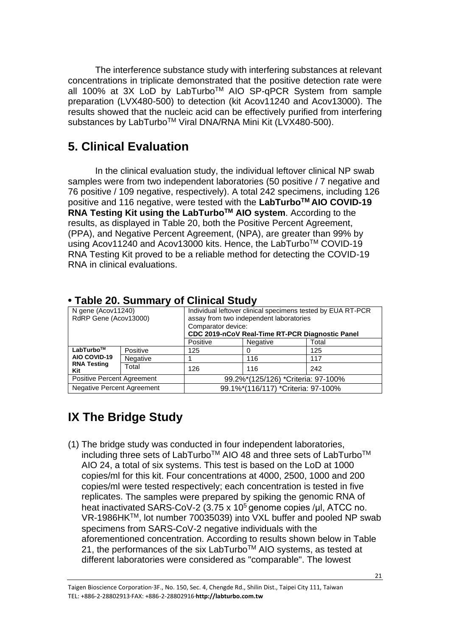The interference substance study with interfering substances at relevant concentrations in triplicate demonstrated that the positive detection rate were all 100% at 3X LoD by LabTurboTM AIO SP-qPCR System from sample preparation (LVX480-500) to detection (kit Acov11240 and Acov13000). The results showed that the nucleic acid can be effectively purified from interfering substances by LabTurbo™ Viral DNA/RNA Mini Kit (LVX480-500).

## **5. Clinical Evaluation**

In the clinical evaluation study, the individual leftover clinical NP swab samples were from two independent laboratories (50 positive / 7 negative and 76 positive / 109 negative, respectively). A total 242 specimens, including 126 positive and 116 negative, were tested with the **LabTurboTM AIO COVID-19 RNA Testing Kit using the LabTurboTM AIO system**. According to the results, as displayed in Table 20, both the Positive Percent Agreement, (PPA), and Negative Percent Agreement, (NPA), are greater than 99% by using Acov11240 and Acov13000 kits. Hence, the LabTurboTM COVID-19 RNA Testing Kit proved to be a reliable method for detecting the COVID-19 RNA in clinical evaluations.

| <b>TADIC ZU. OUTITIQI V OF OIITICAI OLUUV</b> |                 |                                                                                                                                                                                 |          |       |  |  |
|-----------------------------------------------|-----------------|---------------------------------------------------------------------------------------------------------------------------------------------------------------------------------|----------|-------|--|--|
| N gene (Acov11240)<br>RdRP Gene (Acov13000)   |                 | Individual leftover clinical specimens tested by EUA RT-PCR<br>assay from two independent laboratories<br>Comparator device:<br>CDC 2019-nCoV Real-Time RT-PCR Diagnostic Panel |          |       |  |  |
|                                               |                 | Positive                                                                                                                                                                        | Negative | Total |  |  |
| LabTurbo™                                     | Positive        | 125                                                                                                                                                                             |          | 125   |  |  |
| AIO COVID-19                                  | <b>Negative</b> |                                                                                                                                                                                 | 116      | 117   |  |  |
| <b>RNA Testing</b><br>Kit                     | Total           | 126                                                                                                                                                                             | 116      | 242   |  |  |
| Positive Percent Agreement                    |                 | 99.2%*(125/126) *Criteria: 97-100%                                                                                                                                              |          |       |  |  |
| <b>Negative Percent Agreement</b>             |                 | 99.1%*(116/117) *Criteria: 97-100%                                                                                                                                              |          |       |  |  |

### **• Table 20. Summary of Clinical Study**

## <span id="page-20-0"></span>**IX The Bridge Study**

(1) The bridge study was conducted in four independent laboratories, including three sets of LabTurbo™ AIO 48 and three sets of LabTurbo<sup>™</sup> AIO 24, a total of six systems. This test is based on the LoD at 1000 copies/ml for this kit. Four concentrations at 4000, 2500, 1000 and 200 copies/ml were tested respectively; each concentration is tested in five replicates. The samples were prepared by spiking the genomic RNA of heat inactivated SARS-CoV-2 (3.75 x 10<sup>5</sup> genome copies /µl, ATCC no. VR-1986HKTM, lot number 70035039) into VXL buffer and pooled NP swab specimens from SARS-CoV-2 negative individuals with the aforementioned concentration. According to results shown below in Table 21, the performances of the six LabTurbo<sup>™</sup> AIO systems, as tested at different laboratories were considered as "comparable". The lowest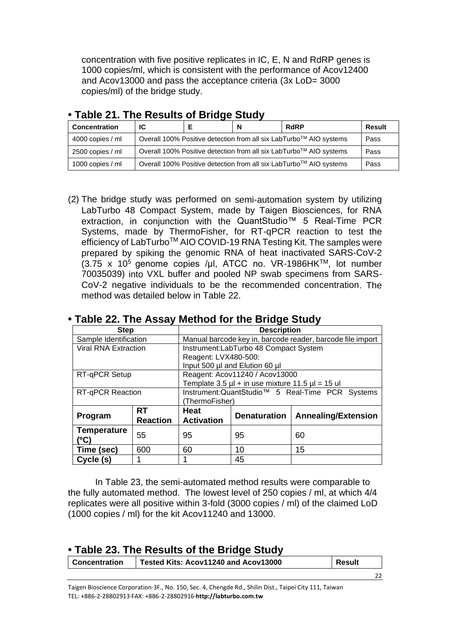concentration with five positive replicates in IC, E, N and RdRP genes is 1000 copies/ml, which is consistent with the performance of Acov12400 and Acov13000 and pass the acceptance criteria (3x LoD= 3000 copies/ml) of the bridge study.

| <b>Concentration</b> | IC                                                                 |                                                                            | N | <b>RdRP</b> | Result |
|----------------------|--------------------------------------------------------------------|----------------------------------------------------------------------------|---|-------------|--------|
| 4000 copies / ml     |                                                                    | Overall 100% Positive detection from all six LabTurbo™ AIO systems<br>Pass |   |             |        |
| 2500 copies / ml     | Overall 100% Positive detection from all six LabTurbo™ AIO systems |                                                                            |   |             | Pass   |
| 1000 copies / ml     | Overall 100% Positive detection from all six LabTurbo™ AIO systems |                                                                            |   |             | Pass   |

### **• Table 21. The Results of Bridge Study**

(2) The bridge study was performed on semi-automation system by utilizing LabTurbo 48 Compact System, made by Taigen Biosciences, for RNA extraction, in conjunction with the QuantStudio™ 5 Real-Time PCR Systems, made by ThermoFisher, for RT-qPCR reaction to test the efficiency of LabTurbo<sup>™</sup> AIO COVID-19 RNA Testing Kit. The samples were prepared by spiking the genomic RNA of heat inactivated SARS-CoV-2  $(3.75 x 10<sup>5</sup>$  genome copies /μl, ATCC no. VR-1986HK™, lot number 70035039) into VXL buffer and pooled NP swab specimens from SARS-CoV-2 negative individuals to be the recommended concentration. The method was detailed below in Table 22.

| <b>Step</b>                 |                 |                                                              | <b>Description</b>                                         |                            |  |  |
|-----------------------------|-----------------|--------------------------------------------------------------|------------------------------------------------------------|----------------------------|--|--|
| Sample Identification       |                 |                                                              | Manual barcode key in, barcode reader, barcode file import |                            |  |  |
| <b>Viral RNA Extraction</b> |                 |                                                              | Instrument:LabTurbo 48 Compact System                      |                            |  |  |
|                             |                 | Reagent: LVX480-500:                                         |                                                            |                            |  |  |
|                             |                 |                                                              | Input 500 µl and Elution 60 µl                             |                            |  |  |
| RT-qPCR Setup               |                 |                                                              | Reagent: Acov11240 / Acov13000                             |                            |  |  |
|                             |                 |                                                              | Template 3.5 $\mu$ l + in use mixture 11.5 $\mu$ l = 15 ul |                            |  |  |
| <b>RT-qPCR Reaction</b>     |                 | Instrument: QuantStudio <sup>™</sup> 5 Real-Time PCR Systems |                                                            |                            |  |  |
|                             |                 | (ThermoFisher)                                               |                                                            |                            |  |  |
| Program                     | <b>RT</b>       | <b>Heat</b>                                                  | <b>Denaturation</b>                                        | <b>Annealing/Extension</b> |  |  |
|                             | <b>Reaction</b> | <b>Activation</b>                                            |                                                            |                            |  |  |
| <b>Temperature</b>          | 55              | 95                                                           | 95                                                         | 60                         |  |  |
| (°C)                        |                 |                                                              |                                                            |                            |  |  |
| Time (sec)                  | 600             | 60                                                           | 10                                                         | 15                         |  |  |
| Cycle (s)                   |                 |                                                              | 45                                                         |                            |  |  |

#### **• Table 22. The Assay Method for the Bridge Study**

In Table 23, the semi-automated method results were comparable to the fully automated method. The lowest level of 250 copies / ml, at which 4/4 replicates were all positive within 3-fold (3000 copies / ml) of the claimed LoD (1000 copies / ml) for the kit Acov11240 and 13000.

| . Table 23. The Results of the Bridge Study |                                      |        |  |  |
|---------------------------------------------|--------------------------------------|--------|--|--|
| <b>Concentration</b>                        | Tested Kits: Acov11240 and Acov13000 | Result |  |  |
|                                             |                                      |        |  |  |
|                                             |                                      |        |  |  |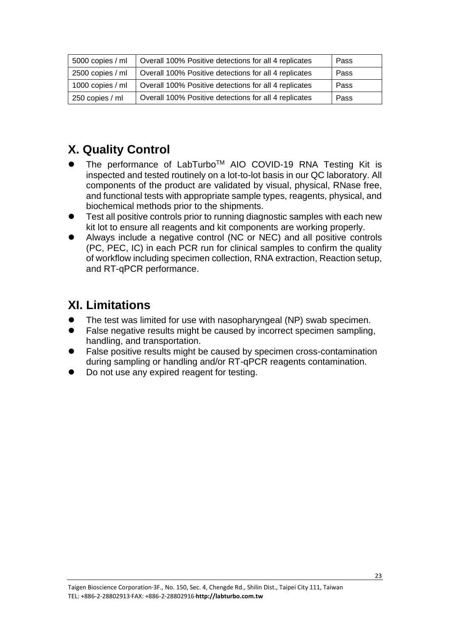| 5000 copies / ml | Overall 100% Positive detections for all 4 replicates | Pass |
|------------------|-------------------------------------------------------|------|
| 2500 copies / ml | Overall 100% Positive detections for all 4 replicates | Pass |
| 1000 copies / ml | Overall 100% Positive detections for all 4 replicates | Pass |
| 250 copies / ml  | Overall 100% Positive detections for all 4 replicates | Pass |

## <span id="page-22-0"></span>**X. Quality Control**

- ⚫ The performance of LabTurboTM AIO COVID-19 RNA Testing Kit is inspected and tested routinely on a lot-to-lot basis in our QC laboratory. All components of the product are validated by visual, physical, RNase free, and functional tests with appropriate sample types, reagents, physical, and biochemical methods prior to the shipments.
- ⚫ Test all positive controls prior to running diagnostic samples with each new kit lot to ensure all reagents and kit components are working properly.
- ⚫ Always include a negative control (NC or NEC) and all positive controls (PC, PEC, IC) in each PCR run for clinical samples to confirm the quality of workflow including specimen collection, RNA extraction, Reaction setup, and RT-qPCR performance.

## <span id="page-22-1"></span>**XI. Limitations**

- ⚫ The test was limited for use with nasopharyngeal (NP) swab specimen.
- ⚫ False negative results might be caused by incorrect specimen sampling, handling, and transportation.
- ⚫ False positive results might be caused by specimen cross-contamination during sampling or handling and/or RT-qPCR reagents contamination.
- ⚫ Do not use any expired reagent for testing.